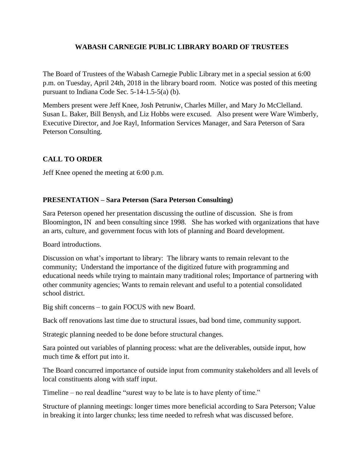## **WABASH CARNEGIE PUBLIC LIBRARY BOARD OF TRUSTEES**

The Board of Trustees of the Wabash Carnegie Public Library met in a special session at 6:00 p.m. on Tuesday, April 24th, 2018 in the library board room. Notice was posted of this meeting pursuant to Indiana Code Sec. 5-14-1.5-5(a) (b).

Members present were Jeff Knee, Josh Petruniw, Charles Miller, and Mary Jo McClelland. Susan L. Baker, Bill Benysh, and Liz Hobbs were excused. Also present were Ware Wimberly, Executive Director, and Joe Rayl, Information Services Manager, and Sara Peterson of Sara Peterson Consulting.

## **CALL TO ORDER**

Jeff Knee opened the meeting at 6:00 p.m.

## **PRESENTATION – Sara Peterson (Sara Peterson Consulting)**

Sara Peterson opened her presentation discussing the outline of discussion. She is from Bloomington, IN and been consulting since 1998. She has worked with organizations that have an arts, culture, and government focus with lots of planning and Board development.

Board introductions.

Discussion on what's important to library: The library wants to remain relevant to the community; Understand the importance of the digitized future with programming and educational needs while trying to maintain many traditional roles; Importance of partnering with other community agencies; Wants to remain relevant and useful to a potential consolidated school district.

Big shift concerns – to gain FOCUS with new Board.

Back off renovations last time due to structural issues, bad bond time, community support.

Strategic planning needed to be done before structural changes.

Sara pointed out variables of planning process: what are the deliverables, outside input, how much time & effort put into it.

The Board concurred importance of outside input from community stakeholders and all levels of local constituents along with staff input.

Timeline – no real deadline "surest way to be late is to have plenty of time."

Structure of planning meetings: longer times more beneficial according to Sara Peterson; Value in breaking it into larger chunks; less time needed to refresh what was discussed before.